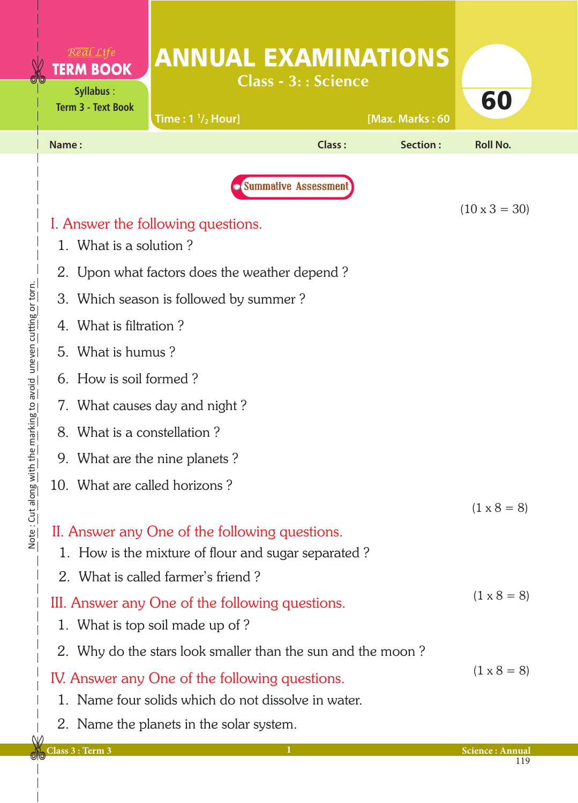| Real Life<br><b>TERM BOOK</b><br><b>Syllabus:</b><br><b>Term 3 - Text Book</b>                  | <b>ANNUAL EXAMINATIONS</b><br>Time: $1 \frac{1}{2}$ Hour]   | <b>Class - 3:: Science</b>  | [Max. Marks: 60 | 60                   |  |  |
|-------------------------------------------------------------------------------------------------|-------------------------------------------------------------|-----------------------------|-----------------|----------------------|--|--|
| Name:                                                                                           |                                                             | Class:                      | Section:        | <b>Roll No.</b>      |  |  |
|                                                                                                 |                                                             | <b>Summative Assessment</b> |                 | $(10 \times 3 = 30)$ |  |  |
|                                                                                                 | I. Answer the following questions.                          |                             |                 |                      |  |  |
| 1. What is a solution?                                                                          |                                                             |                             |                 |                      |  |  |
|                                                                                                 | 2. Upon what factors does the weather depend?               |                             |                 |                      |  |  |
|                                                                                                 | 3. Which season is followed by summer?                      |                             |                 |                      |  |  |
|                                                                                                 | 4. What is filtration?                                      |                             |                 |                      |  |  |
| 5. What is humus?                                                                               |                                                             |                             |                 |                      |  |  |
|                                                                                                 | 6. How is soil formed?                                      |                             |                 |                      |  |  |
| 7. What causes day and night?                                                                   |                                                             |                             |                 |                      |  |  |
| What is a constellation?<br>8.                                                                  |                                                             |                             |                 |                      |  |  |
|                                                                                                 | 9. What are the nine planets?                               |                             |                 |                      |  |  |
|                                                                                                 | 10. What are called horizons?                               |                             |                 |                      |  |  |
|                                                                                                 |                                                             |                             |                 | $(1 \times 8 = 8)$   |  |  |
| II. Answer any One of the following questions.                                                  |                                                             |                             |                 |                      |  |  |
| 1. How is the mixture of flour and sugar separated?                                             |                                                             |                             |                 |                      |  |  |
|                                                                                                 | 2. What is called farmer's friend?                          |                             |                 | $(1 \times 8 = 8)$   |  |  |
| III. Answer any One of the following questions.                                                 |                                                             |                             |                 |                      |  |  |
| 1. What is top soil made up of?                                                                 |                                                             |                             |                 |                      |  |  |
|                                                                                                 | 2. Why do the stars look smaller than the sun and the moon? |                             |                 | $(1 \times 8 = 8)$   |  |  |
|                                                                                                 | IV. Answer any One of the following questions.              |                             |                 |                      |  |  |
| 1. Name four solids which do not dissolve in water.<br>2. Name the planets in the solar system. |                                                             |                             |                 |                      |  |  |
|                                                                                                 |                                                             |                             |                 |                      |  |  |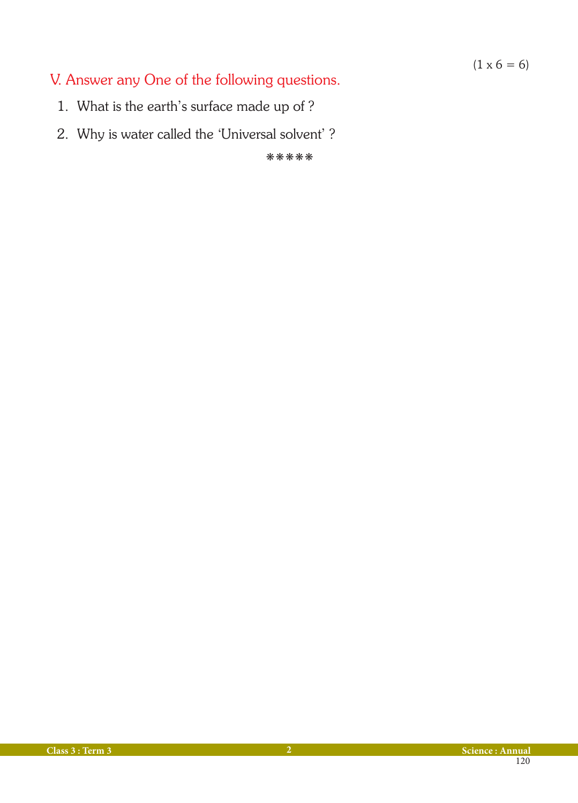$(1 \times 6 = 6)$ 

## V. Answer any One of the following questions.

- 1. What is the earth's surface made up of ?
- 2. Why is water called the 'Universal solvent' ?

kkkkk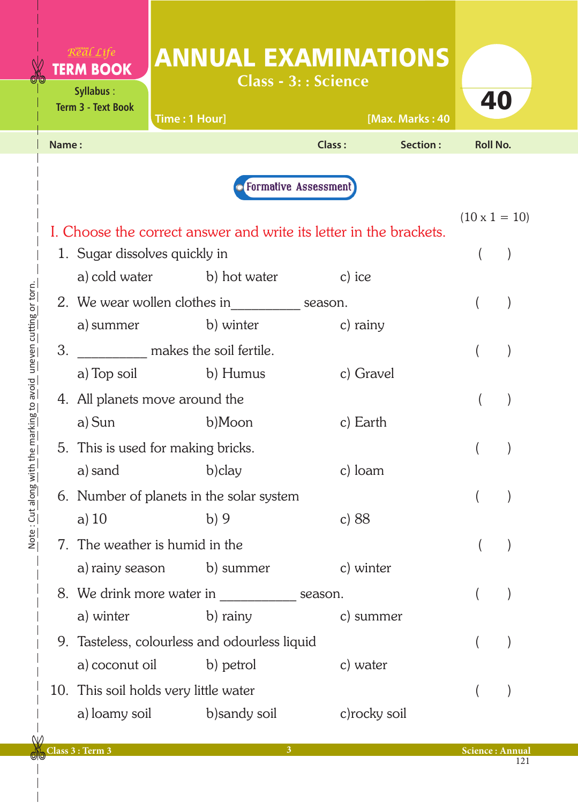|       | Real Life<br><b>TERM BOOK</b><br>Syllabus:<br><b>Term 3 - Text Book</b> | Time: 1 Hour]                                               |               | <b>Class - 3:: Science</b>    | <b>ANNUAL EXAMINATIONS</b><br>[Max. Marks: 40                      |                      | 40 |  |
|-------|-------------------------------------------------------------------------|-------------------------------------------------------------|---------------|-------------------------------|--------------------------------------------------------------------|----------------------|----|--|
| Name: |                                                                         |                                                             |               | Class:                        | Section:                                                           | <b>Roll No.</b>      |    |  |
|       |                                                                         |                                                             |               | <b>• Formative Assessment</b> |                                                                    |                      |    |  |
|       |                                                                         |                                                             |               |                               | I. Choose the correct answer and write its letter in the brackets. | $(10 \times 1 = 10)$ |    |  |
|       |                                                                         | 1. Sugar dissolves quickly in<br>a) cold water b) hot water |               | c) ice                        |                                                                    |                      |    |  |
|       |                                                                         | 2. We wear wollen clothes in season.                        |               |                               |                                                                    |                      |    |  |
| 3.    | a) summer                                                               | b) winter<br>makes the soil fertile.                        |               |                               | c) rainy                                                           |                      |    |  |
|       | a) Top soil                                                             | b) Humus                                                    |               |                               | c) Gravel                                                          |                      |    |  |
|       | 4. All planets move around the                                          |                                                             |               |                               |                                                                    |                      |    |  |
|       | a) Sun                                                                  | b)Moon                                                      |               |                               | c) Earth                                                           |                      |    |  |
|       | 5. This is used for making bricks.                                      |                                                             |               |                               |                                                                    |                      |    |  |
|       | a) sand b) clay<br>c) loam                                              |                                                             |               |                               |                                                                    |                      |    |  |
|       | a) $10$                                                                 | 6. Number of planets in the solar system<br>b)9             |               | c) $88$                       |                                                                    |                      |    |  |
|       |                                                                         | 7. The weather is humid in the                              |               |                               |                                                                    |                      |    |  |
|       | a) rainy season                                                         |                                                             | b) summer     |                               | c) winter                                                          |                      |    |  |
|       |                                                                         | 8. We drink more water in season.                           |               |                               |                                                                    |                      |    |  |
|       | a) winter                                                               | b) rainy                                                    |               |                               | c) summer                                                          |                      |    |  |
|       |                                                                         | 9. Tasteless, colourless and odourless liquid               |               |                               |                                                                    |                      |    |  |
|       | a) coconut oil                                                          | b) petrol                                                   |               |                               | c) water                                                           |                      |    |  |
|       |                                                                         | 10. This soil holds very little water                       |               |                               |                                                                    |                      |    |  |
|       | a) loamy soil                                                           |                                                             | b) sandy soil |                               | c) rocky soil                                                      |                      |    |  |

 $\overline{\phantom{a}}$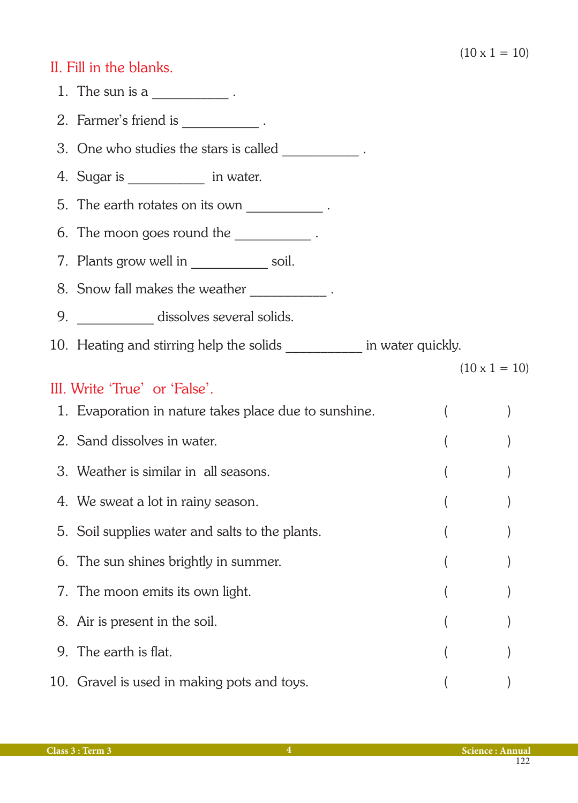## II. Fill in the blanks.

- 1. The sun is a  $\frac{1}{2}$ .
- 2. Farmer's friend is \_\_\_\_\_\_\_\_\_\_\_\_.
- 3. One who studies the stars is called  $\sim$
- 4. Sugar is  $\qquad \qquad$  in water.
- 5. The earth rotates on its own  $\frac{1}{\sqrt{1-\frac{1}{n}}}\cdot$
- 6. The moon goes round the  $\qquad \qquad$ .
- 7. Plants grow well in \_\_\_\_\_\_\_\_\_\_\_ soil.
- 8. Snow fall makes the weather \_\_\_\_\_\_\_\_\_\_\_\_\_.
- 9. \_\_\_\_\_\_\_\_\_\_\_\_\_ dissolves several solids.
- 10. Heating and stirring help the solids \_\_\_\_\_\_\_\_\_\_\_\_ in water quickly.

#### $(10 \times 1 = 10)$

## III. Write 'True' or 'False'.

| 1. Evaporation in nature takes place due to sunshine. |  |
|-------------------------------------------------------|--|
| 2. Sand dissolves in water.                           |  |
| 3. Weather is similar in all seasons.                 |  |
| 4. We sweat a lot in rainy season.                    |  |
| 5. Soil supplies water and salts to the plants.       |  |
| 6. The sun shines brightly in summer.                 |  |
| 7. The moon emits its own light.                      |  |
| 8. Air is present in the soil.                        |  |
| 9. The earth is flat.                                 |  |
| 10. Gravel is used in making pots and toys.           |  |